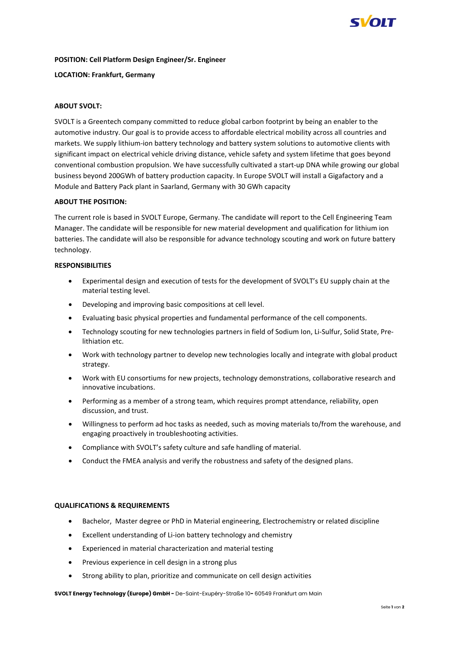

### **POSITION: Cell Platform Design Engineer/Sr. Engineer**

### **LOCATION: Frankfurt, Germany**

# **ABOUT SVOLT:**

SVOLT is a Greentech company committed to reduce global carbon footprint by being an enabler to the automotive industry. Our goal is to provide access to affordable electrical mobility across all countries and markets. We supply lithium-ion battery technology and battery system solutions to automotive clients with significant impact on electrical vehicle driving distance, vehicle safety and system lifetime that goes beyond conventional combustion propulsion. We have successfully cultivated a start-up DNA while growing our global business beyond 200GWh of battery production capacity. In Europe SVOLT will install a Gigafactory and a Module and Battery Pack plant in Saarland, Germany with 30 GWh capacity

## **ABOUT THE POSITION:**

The current role is based in SVOLT Europe, Germany. The candidate will report to the Cell Engineering Team Manager. The candidate will be responsible for new material development and qualification for lithium ion batteries. The candidate will also be responsible for advance technology scouting and work on future battery technology.

## **RESPONSIBILITIES**

- Experimental design and execution of tests for the development of SVOLT's EU supply chain at the material testing level.
- Developing and improving basic compositions at cell level.
- Evaluating basic physical properties and fundamental performance of the cell components.
- Technology scouting for new technologies partners in field of Sodium Ion, Li-Sulfur, Solid State, Prelithiation etc.
- Work with technology partner to develop new technologies locally and integrate with global product strategy.
- Work with EU consortiums for new projects, technology demonstrations, collaborative research and innovative incubations.
- Performing as a member of a strong team, which requires prompt attendance, reliability, open discussion, and trust.
- Willingness to perform ad hoc tasks as needed, such as moving materials to/from the warehouse, and engaging proactively in troubleshooting activities.
- Compliance with SVOLT's safety culture and safe handling of material.
- Conduct the FMEA analysis and verify the robustness and safety of the designed plans.

### **QUALIFICATIONS & REQUIREMENTS**

- Bachelor, Master degree or PhD in Material engineering, Electrochemistry or related discipline
- Excellent understanding of Li-ion battery technology and chemistry
- Experienced in material characterization and material testing
- Previous experience in cell design in a strong plus
- Strong ability to plan, prioritize and communicate on cell design activities

**SVOLT Energy Technology (Europe) GmbH -** De-Saint-Exupéry-Straße 10**-** 60549 Frankfurt am Main